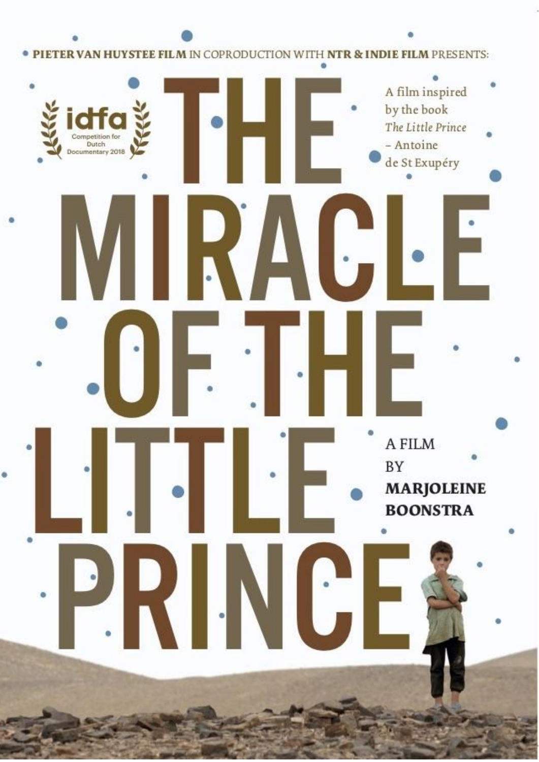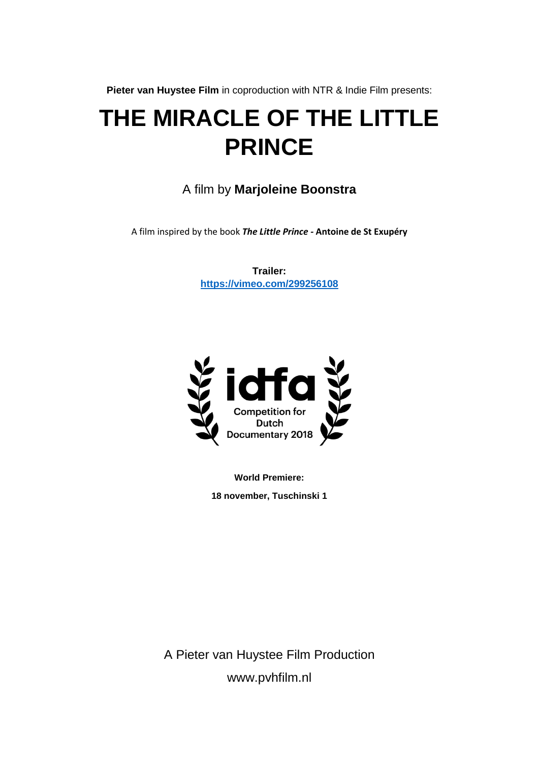**Pieter van Huystee Film** in coproduction with NTR & Indie Film presents:

# **THE MIRACLE OF THE LITTLE PRINCE**

### A film by **Marjoleine Boonstra**

A film inspired by the book *The Little Prince -* **Antoine de St Exupéry**

**Trailer: <https://vimeo.com/299256108>**



**World Premiere: 18 november, Tuschinski 1**

A Pieter van Huystee Film Production www.pvhfilm.nl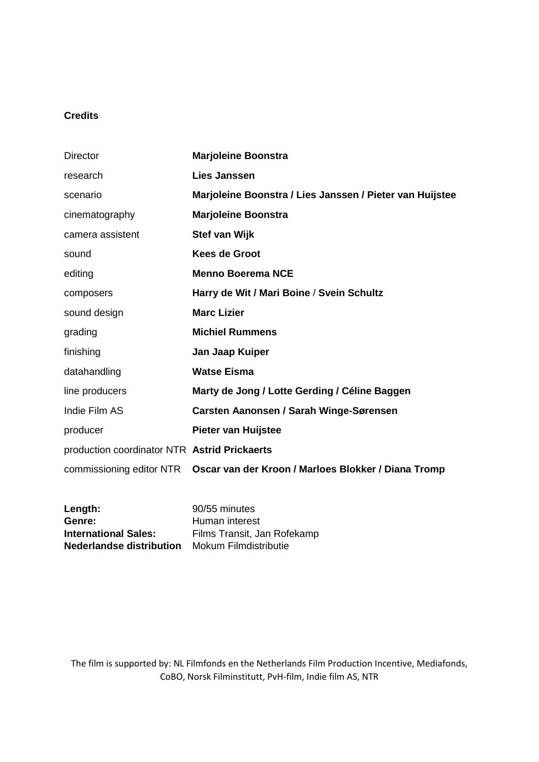#### **Credits**

| <b>Director</b>                              | <b>Marjoleine Boonstra</b>                               |
|----------------------------------------------|----------------------------------------------------------|
| research                                     | Lies Janssen                                             |
| scenario                                     | Marjoleine Boonstra / Lies Janssen / Pieter van Huijstee |
| cinematography                               | <b>Marjoleine Boonstra</b>                               |
| camera assistent                             | Stef van Wijk                                            |
| sound                                        | <b>Kees de Groot</b>                                     |
| editing                                      | <b>Menno Boerema NCE</b>                                 |
| composers                                    | Harry de Wit / Mari Boine / Svein Schultz                |
| sound design                                 | <b>Marc Lizier</b>                                       |
| grading                                      | <b>Michiel Rummens</b>                                   |
| finishing                                    | Jan Jaap Kuiper                                          |
| datahandling                                 | <b>Watse Eisma</b>                                       |
| line producers                               | Marty de Jong / Lotte Gerding / Céline Baggen            |
| Indie Film AS                                | <b>Carsten Aanonsen / Sarah Winge-Sørensen</b>           |
| producer                                     | <b>Pieter van Huijstee</b>                               |
| production coordinator NTR Astrid Prickaerts |                                                          |
| commissioning editor NTR                     | Oscar van der Kroon / Marloes Blokker / Diana Tromp      |
|                                              |                                                          |

| Length:                         | 90/55 minutes               |
|---------------------------------|-----------------------------|
| Genre:                          | Human interest              |
| <b>International Sales:</b>     | Films Transit, Jan Rofekamp |
| <b>Nederlandse distribution</b> | Mokum Filmdistributie       |

The film is supported by: NL Filmfonds en the Netherlands Film Production Incentive, Mediafonds, CoBO, Norsk Filminstitutt, PvH-film, Indie film AS, NTR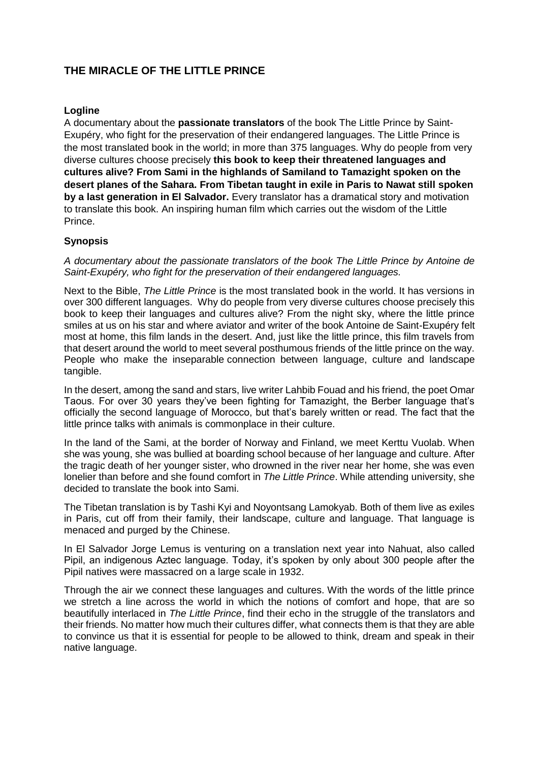#### **THE MIRACLE OF THE LITTLE PRINCE**

#### **Logline**

A documentary about the **passionate translators** of the book The Little Prince by Saint-Exupéry, who fight for the preservation of their endangered languages. The Little Prince is the most translated book in the world; in more than 375 languages. Why do people from very diverse cultures choose precisely **this book to keep their threatened languages and cultures alive? From Sami in the highlands of Samiland to Tamazight spoken on the desert planes of the Sahara. From Tibetan taught in exile in Paris to Nawat still spoken by a last generation in El Salvador.** Every translator has a dramatical story and motivation to translate this book. An inspiring human film which carries out the wisdom of the Little Prince.

#### **Synopsis**

*A documentary about the passionate translators of the book The Little Prince by Antoine de Saint-Exupéry, who fight for the preservation of their endangered languages.*

Next to the Bible, *The Little Prince* is the most translated book in the world. It has versions in over 300 different languages. Why do people from very diverse cultures choose precisely this book to keep their languages and cultures alive? From the night sky, where the little prince smiles at us on his star and where aviator and writer of the book Antoine de Saint-Exupéry felt most at home, this film lands in the desert. And, just like the little prince, this film travels from that desert around the world to meet several posthumous friends of the little prince on the way. People who make the inseparable connection between language, culture and landscape tangible.

In the desert, among the sand and stars, live writer Lahbib Fouad and his friend, the poet Omar Taous. For over 30 years they've been fighting for Tamazight, the Berber language that's officially the second language of Morocco, but that's barely written or read. The fact that the little prince talks with animals is commonplace in their culture.

In the land of the Sami, at the border of Norway and Finland, we meet Kerttu Vuolab. When she was young, she was bullied at boarding school because of her language and culture. After the tragic death of her younger sister, who drowned in the river near her home, she was even lonelier than before and she found comfort in *The Little Prince*. While attending university, she decided to translate the book into Sami.

The Tibetan translation is by Tashi Kyi and Noyontsang Lamokyab. Both of them live as exiles in Paris, cut off from their family, their landscape, culture and language. That language is menaced and purged by the Chinese.

In El Salvador Jorge Lemus is venturing on a translation next year into Nahuat, also called Pipil, an indigenous Aztec language. Today, it's spoken by only about 300 people after the Pipil natives were massacred on a large scale in 1932.

Through the air we connect these languages and cultures. With the words of the little prince we stretch a line across the world in which the notions of comfort and hope, that are so beautifully interlaced in *The Little Prince*, find their echo in the struggle of the translators and their friends. No matter how much their cultures differ, what connects them is that they are able to convince us that it is essential for people to be allowed to think, dream and speak in their native language.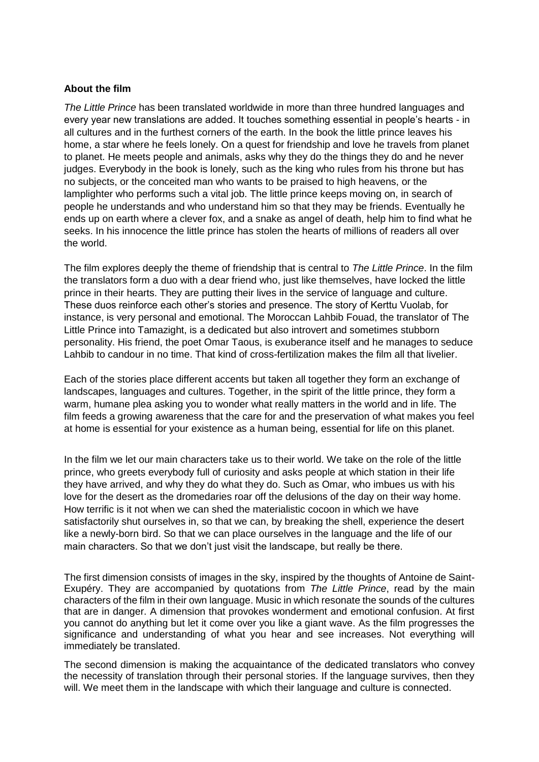#### **About the film**

*The Little Prince* has been translated worldwide in more than three hundred languages and every year new translations are added. It touches something essential in people's hearts - in all cultures and in the furthest corners of the earth. In the book the little prince leaves his home, a star where he feels lonely. On a quest for friendship and love he travels from planet to planet. He meets people and animals, asks why they do the things they do and he never judges. Everybody in the book is lonely, such as the king who rules from his throne but has no subjects, or the conceited man who wants to be praised to high heavens, or the lamplighter who performs such a vital job. The little prince keeps moving on, in search of people he understands and who understand him so that they may be friends. Eventually he ends up on earth where a clever fox, and a snake as angel of death, help him to find what he seeks. In his innocence the little prince has stolen the hearts of millions of readers all over the world.

The film explores deeply the theme of friendship that is central to *The Little Prince*. In the film the translators form a duo with a dear friend who, just like themselves, have locked the little prince in their hearts. They are putting their lives in the service of language and culture. These duos reinforce each other's stories and presence. The story of Kerttu Vuolab, for instance, is very personal and emotional. The Moroccan Lahbib Fouad, the translator of The Little Prince into Tamazight, is a dedicated but also introvert and sometimes stubborn personality. His friend, the poet Omar Taous, is exuberance itself and he manages to seduce Lahbib to candour in no time. That kind of cross-fertilization makes the film all that livelier.

Each of the stories place different accents but taken all together they form an exchange of landscapes, languages and cultures. Together, in the spirit of the little prince, they form a warm, humane plea asking you to wonder what really matters in the world and in life. The film feeds a growing awareness that the care for and the preservation of what makes you feel at home is essential for your existence as a human being, essential for life on this planet.

In the film we let our main characters take us to their world. We take on the role of the little prince, who greets everybody full of curiosity and asks people at which station in their life they have arrived, and why they do what they do. Such as Omar, who imbues us with his love for the desert as the dromedaries roar off the delusions of the day on their way home. How terrific is it not when we can shed the materialistic cocoon in which we have satisfactorily shut ourselves in, so that we can, by breaking the shell, experience the desert like a newly-born bird. So that we can place ourselves in the language and the life of our main characters. So that we don't just visit the landscape, but really be there.

The first dimension consists of images in the sky, inspired by the thoughts of Antoine de Saint-Exupéry. They are accompanied by quotations from *The Little Prince*, read by the main characters of the film in their own language. Music in which resonate the sounds of the cultures that are in danger. A dimension that provokes wonderment and emotional confusion. At first you cannot do anything but let it come over you like a giant wave. As the film progresses the significance and understanding of what you hear and see increases. Not everything will immediately be translated.

The second dimension is making the acquaintance of the dedicated translators who convey the necessity of translation through their personal stories. If the language survives, then they will. We meet them in the landscape with which their language and culture is connected.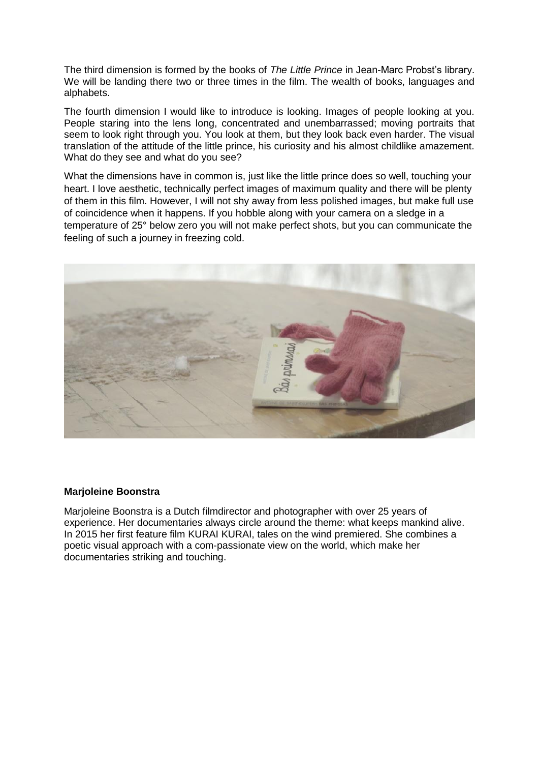The third dimension is formed by the books of *The Little Prince* in Jean-Marc Probst's library. We will be landing there two or three times in the film. The wealth of books, languages and alphabets.

The fourth dimension I would like to introduce is looking. Images of people looking at you. People staring into the lens long, concentrated and unembarrassed; moving portraits that seem to look right through you. You look at them, but they look back even harder. The visual translation of the attitude of the little prince, his curiosity and his almost childlike amazement. What do they see and what do you see?

What the dimensions have in common is, just like the little prince does so well, touching your heart. I love aesthetic, technically perfect images of maximum quality and there will be plenty of them in this film. However, I will not shy away from less polished images, but make full use of coincidence when it happens. If you hobble along with your camera on a sledge in a temperature of 25° below zero you will not make perfect shots, but you can communicate the feeling of such a journey in freezing cold.



#### **Marjoleine Boonstra**

Marjoleine Boonstra is a Dutch filmdirector and photographer with over 25 years of experience. Her documentaries always circle around the theme: what keeps mankind alive. In 2015 her first feature film KURAI KURAI, tales on the wind premiered. She combines a poetic visual approach with a com-passionate view on the world, which make her documentaries striking and touching.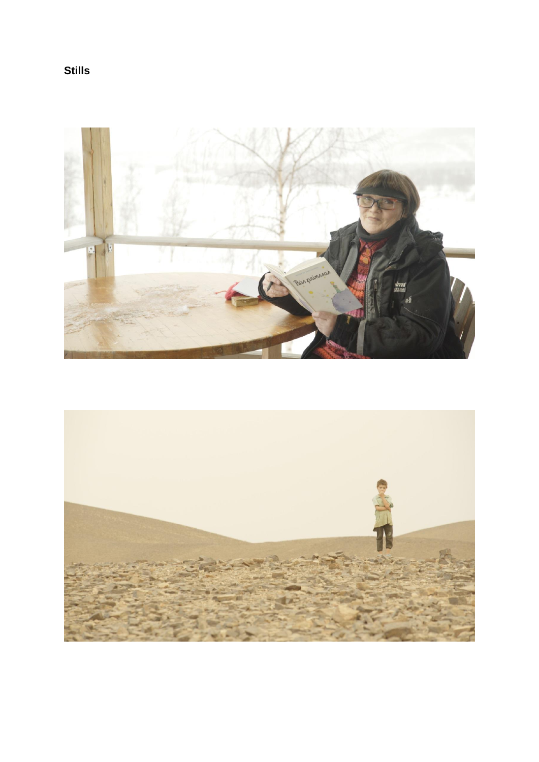**Stills**



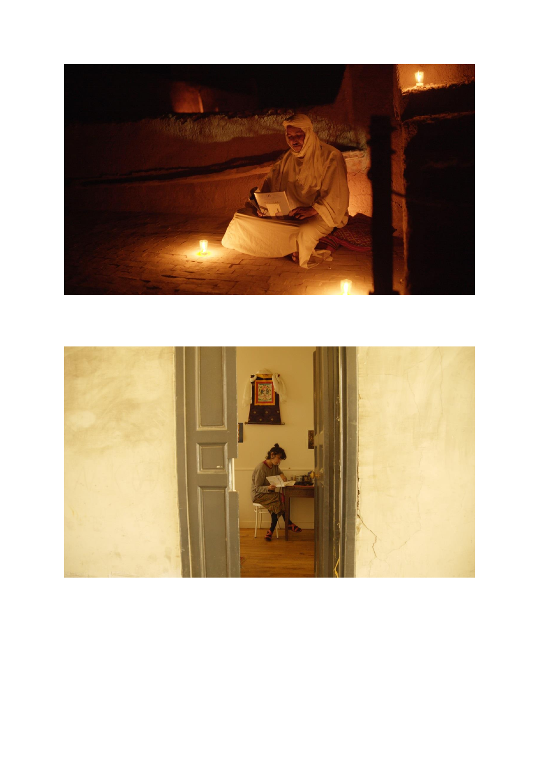